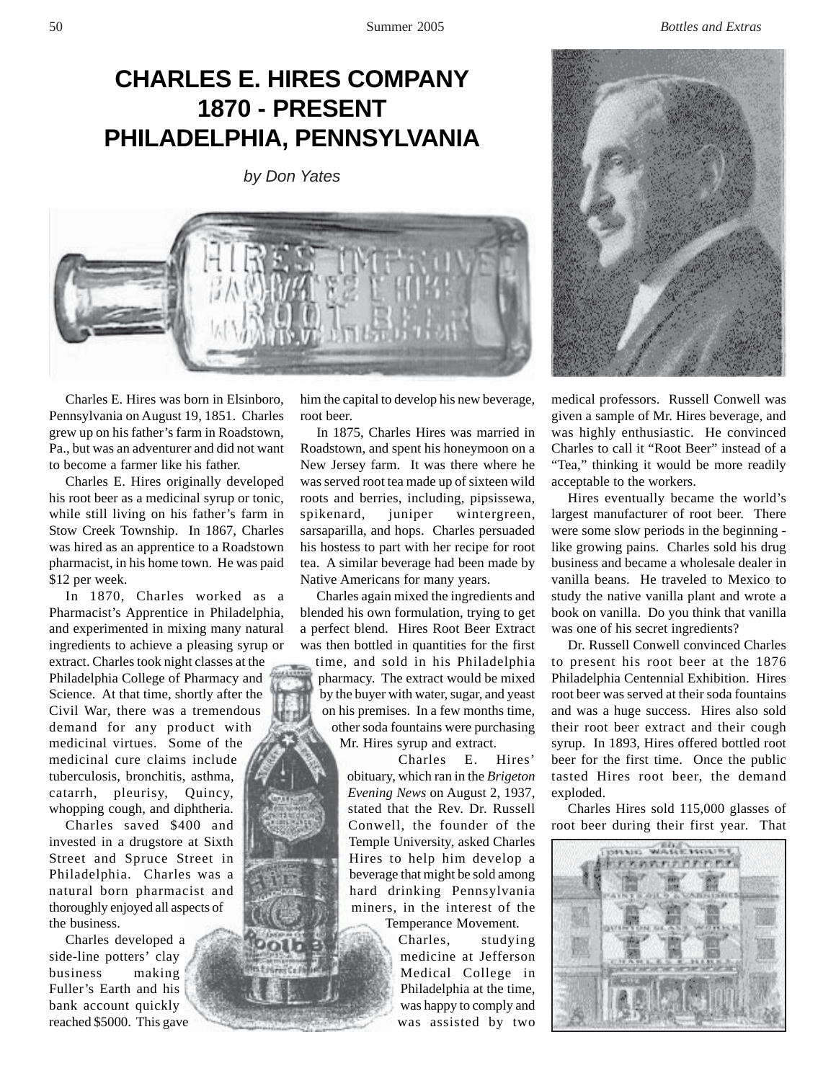### 50 Summer 2005 *Bottles and Extras*

# **CHARLES E. HIRES COMPANY 1870 - PRESENT PHILADELPHIA, PENNSYLVANIA**

*by Don Yates*



Charles E. Hires was born in Elsinboro, Pennsylvania on August 19, 1851. Charles grew up on his father's farm in Roadstown, Pa., but was an adventurer and did not want to become a farmer like his father.

Charles E. Hires originally developed his root beer as a medicinal syrup or tonic, while still living on his father's farm in Stow Creek Township. In 1867, Charles was hired as an apprentice to a Roadstown pharmacist, in his home town. He was paid \$12 per week.

In 1870, Charles worked as a Pharmacist's Apprentice in Philadelphia, and experimented in mixing many natural ingredients to achieve a pleasing syrup or

extract. Charles took night classes at the Philadelphia College of Pharmacy and Science. At that time, shortly after the Civil War, there was a tremendous demand for any product with medicinal virtues. Some of the medicinal cure claims include tuberculosis, bronchitis, asthma, catarrh, pleurisy, Quincy, whopping cough, and diphtheria.

Charles saved \$400 and invested in a drugstore at Sixth Street and Spruce Street in Philadelphia. Charles was a natural born pharmacist and thoroughly enjoyed all aspects of the business.

Charles developed a side-line potters' clay business making Fuller's Earth and his bank account quickly reached \$5000. This gave him the capital to develop his new beverage, root beer.

In 1875, Charles Hires was married in Roadstown, and spent his honeymoon on a New Jersey farm. It was there where he was served root tea made up of sixteen wild roots and berries, including, pipsissewa, spikenard, juniper wintergreen, sarsaparilla, and hops. Charles persuaded his hostess to part with her recipe for root tea. A similar beverage had been made by Native Americans for many years.

Charles again mixed the ingredients and blended his own formulation, trying to get a perfect blend. Hires Root Beer Extract was then bottled in quantities for the first

time, and sold in his Philadelphia pharmacy. The extract would be mixed by the buyer with water, sugar, and yeast on his premises. In a few months time, other soda fountains were purchasing

Mr. Hires syrup and extract.

Charles E. Hires' obituary, which ran in the *Brigeton Evening News* on August 2, 1937, stated that the Rev. Dr. Russell Conwell, the founder of the Temple University, asked Charles Hires to help him develop a beverage that might be sold among hard drinking Pennsylvania miners, in the interest of the Temperance Movement.

> Charles, studying medicine at Jefferson Medical College in Philadelphia at the time, was happy to comply and was assisted by two



medical professors. Russell Conwell was given a sample of Mr. Hires beverage, and was highly enthusiastic. He convinced Charles to call it "Root Beer" instead of a "Tea," thinking it would be more readily acceptable to the workers.

Hires eventually became the world's largest manufacturer of root beer. There were some slow periods in the beginning like growing pains. Charles sold his drug business and became a wholesale dealer in vanilla beans. He traveled to Mexico to study the native vanilla plant and wrote a book on vanilla. Do you think that vanilla was one of his secret ingredients?

Dr. Russell Conwell convinced Charles to present his root beer at the 1876 Philadelphia Centennial Exhibition. Hires root beer was served at their soda fountains and was a huge success. Hires also sold their root beer extract and their cough syrup. In 1893, Hires offered bottled root beer for the first time. Once the public tasted Hires root beer, the demand exploded.

Charles Hires sold 115,000 glasses of root beer during their first year. That

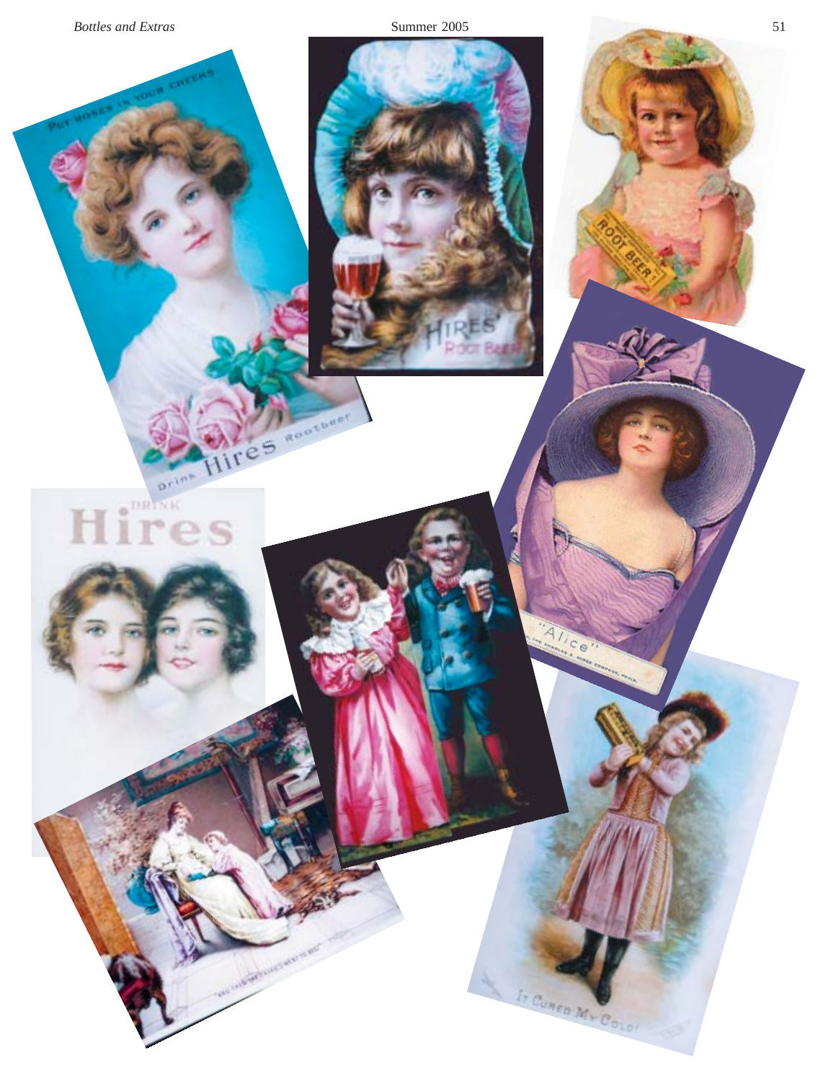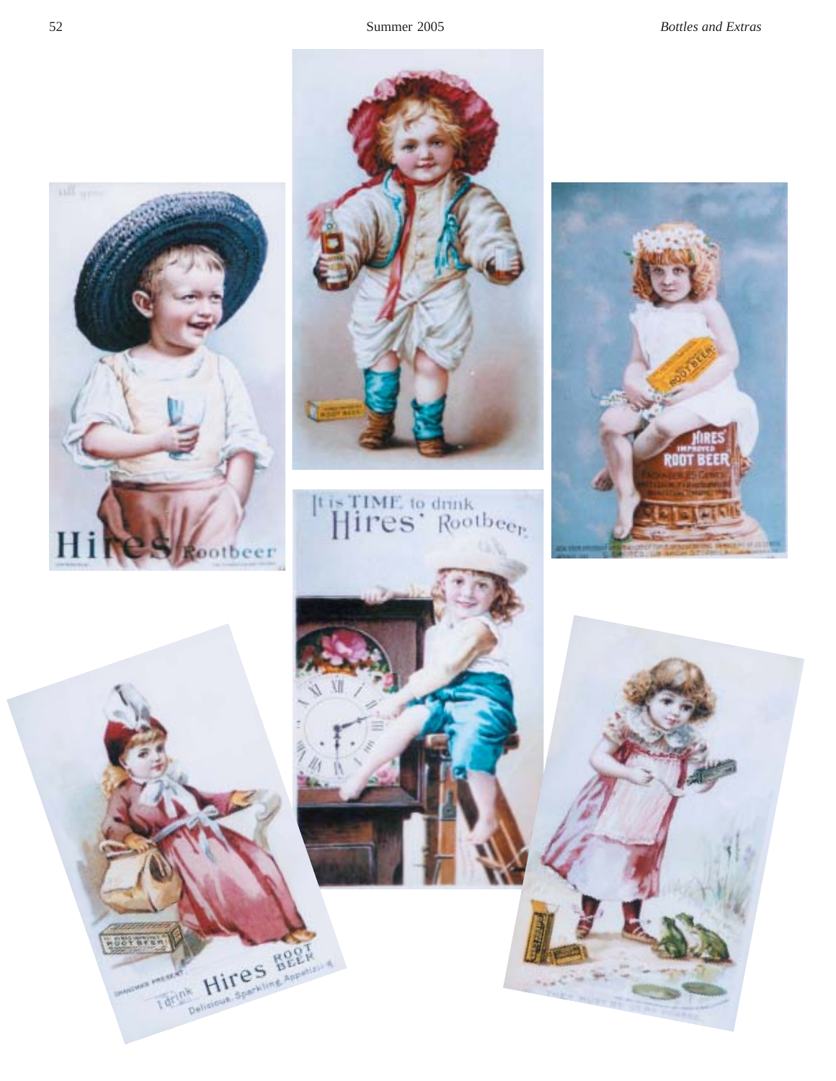Summer 2005 *Bottles and Extras*

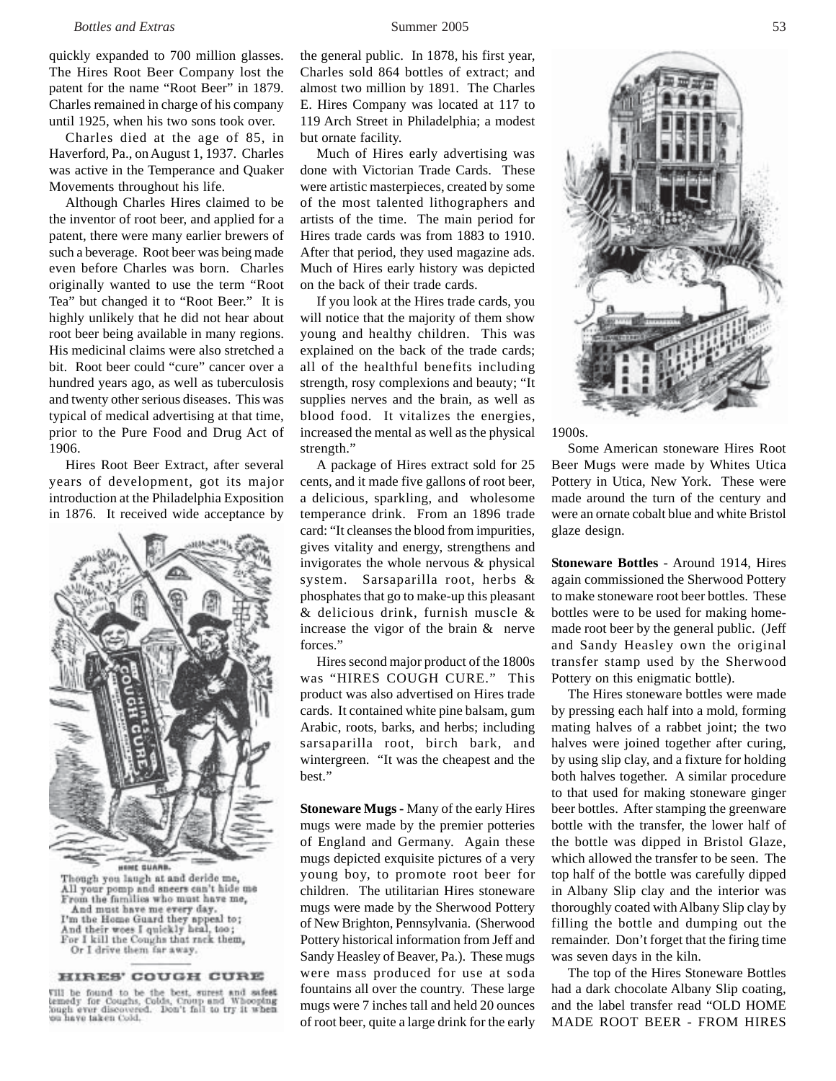### *Bottles and Extras* 53

quickly expanded to 700 million glasses. The Hires Root Beer Company lost the patent for the name "Root Beer" in 1879. Charles remained in charge of his company until 1925, when his two sons took over.

Charles died at the age of 85, in Haverford, Pa., on August 1, 1937. Charles was active in the Temperance and Quaker Movements throughout his life.

Although Charles Hires claimed to be the inventor of root beer, and applied for a patent, there were many earlier brewers of such a beverage. Root beer was being made even before Charles was born. Charles originally wanted to use the term "Root Tea" but changed it to "Root Beer." It is highly unlikely that he did not hear about root beer being available in many regions. His medicinal claims were also stretched a bit. Root beer could "cure" cancer over a hundred years ago, as well as tuberculosis and twenty other serious diseases. This was typical of medical advertising at that time, prior to the Pure Food and Drug Act of 1906.

Hires Root Beer Extract, after several years of development, got its major introduction at the Philadelphia Exposition in 1876. It received wide acceptance by



Though you laugh at and deride me, All your pomp and sneers can't hide me From the families who must have me, And must have me every day.<br>I'm the Home Guard they appeal to; And their woes I quickly heal, too; For I kill the Coughs that rack them, Or I drive them far away.

# **HIRES' COUGH CURE**

VIII be found to be the best, surest and safest<br>temedy for Coughs, Colds, Croup and Whooping<br>lough ever discovered. Don't fail to try it when ou have taken Cold.

the general public. In 1878, his first year, Charles sold 864 bottles of extract; and almost two million by 1891. The Charles E. Hires Company was located at 117 to 119 Arch Street in Philadelphia; a modest but ornate facility.

Much of Hires early advertising was done with Victorian Trade Cards. These were artistic masterpieces, created by some of the most talented lithographers and artists of the time. The main period for Hires trade cards was from 1883 to 1910. After that period, they used magazine ads. Much of Hires early history was depicted on the back of their trade cards.

If you look at the Hires trade cards, you will notice that the majority of them show young and healthy children. This was explained on the back of the trade cards; all of the healthful benefits including strength, rosy complexions and beauty; "It supplies nerves and the brain, as well as blood food. It vitalizes the energies, increased the mental as well as the physical strength."

A package of Hires extract sold for 25 cents, and it made five gallons of root beer, a delicious, sparkling, and wholesome temperance drink. From an 1896 trade card: "It cleanses the blood from impurities, gives vitality and energy, strengthens and invigorates the whole nervous & physical system. Sarsaparilla root, herbs & phosphates that go to make-up this pleasant & delicious drink, furnish muscle & increase the vigor of the brain & nerve forces."

Hires second major product of the 1800s was "HIRES COUGH CURE." This product was also advertised on Hires trade cards. It contained white pine balsam, gum Arabic, roots, barks, and herbs; including sarsaparilla root, birch bark, and wintergreen. "It was the cheapest and the best."

**Stoneware Mugs -** Many of the early Hires mugs were made by the premier potteries of England and Germany. Again these mugs depicted exquisite pictures of a very young boy, to promote root beer for children. The utilitarian Hires stoneware mugs were made by the Sherwood Pottery of New Brighton, Pennsylvania. (Sherwood Pottery historical information from Jeff and Sandy Heasley of Beaver, Pa.). These mugs were mass produced for use at soda fountains all over the country. These large mugs were 7 inches tall and held 20 ounces of root beer, quite a large drink for the early



1900s.

Some American stoneware Hires Root Beer Mugs were made by Whites Utica Pottery in Utica, New York. These were made around the turn of the century and were an ornate cobalt blue and white Bristol glaze design.

**Stoneware Bottles** - Around 1914, Hires again commissioned the Sherwood Pottery to make stoneware root beer bottles. These bottles were to be used for making homemade root beer by the general public. (Jeff and Sandy Heasley own the original transfer stamp used by the Sherwood Pottery on this enigmatic bottle).

The Hires stoneware bottles were made by pressing each half into a mold, forming mating halves of a rabbet joint; the two halves were joined together after curing, by using slip clay, and a fixture for holding both halves together. A similar procedure to that used for making stoneware ginger beer bottles. After stamping the greenware bottle with the transfer, the lower half of the bottle was dipped in Bristol Glaze, which allowed the transfer to be seen. The top half of the bottle was carefully dipped in Albany Slip clay and the interior was thoroughly coated with Albany Slip clay by filling the bottle and dumping out the remainder. Don't forget that the firing time was seven days in the kiln.

The top of the Hires Stoneware Bottles had a dark chocolate Albany Slip coating, and the label transfer read "OLD HOME MADE ROOT BEER - FROM HIRES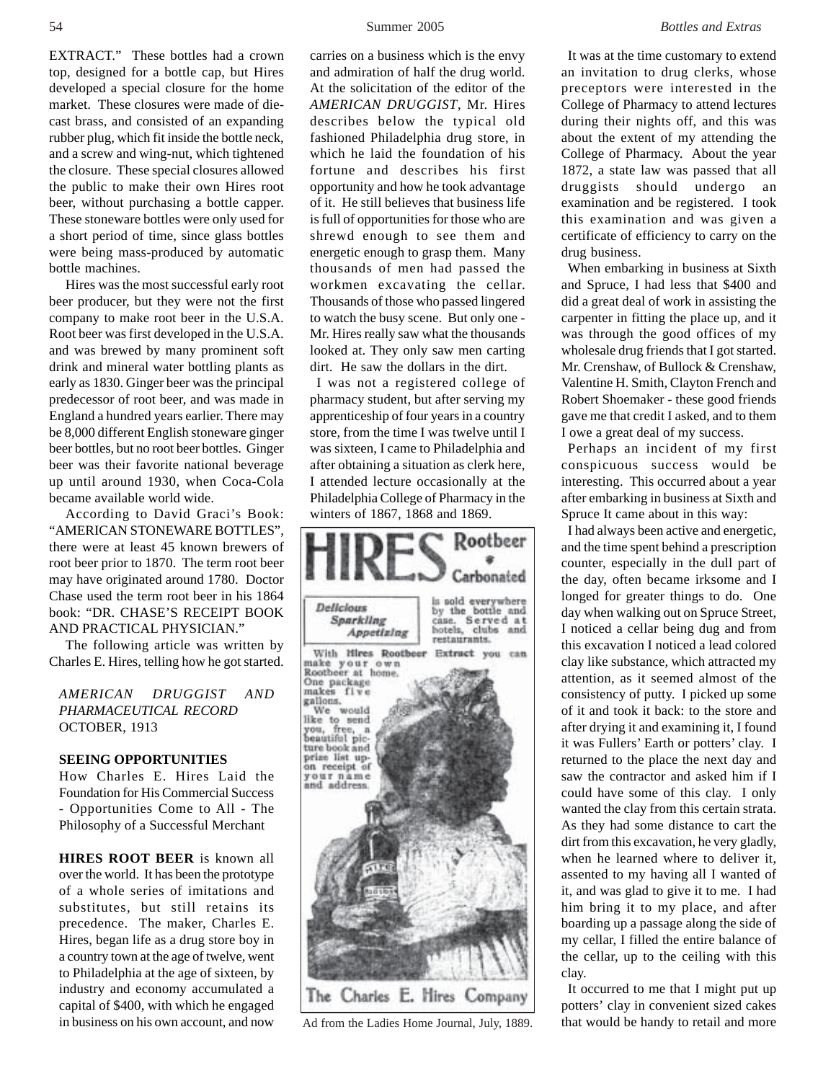EXTRACT." These bottles had a crown top, designed for a bottle cap, but Hires developed a special closure for the home market. These closures were made of diecast brass, and consisted of an expanding rubber plug, which fit inside the bottle neck, and a screw and wing-nut, which tightened the closure. These special closures allowed the public to make their own Hires root beer, without purchasing a bottle capper. These stoneware bottles were only used for a short period of time, since glass bottles were being mass-produced by automatic bottle machines.

Hires was the most successful early root beer producer, but they were not the first company to make root beer in the U.S.A. Root beer was first developed in the U.S.A. and was brewed by many prominent soft drink and mineral water bottling plants as early as 1830. Ginger beer was the principal predecessor of root beer, and was made in England a hundred years earlier. There may be 8,000 different English stoneware ginger beer bottles, but no root beer bottles. Ginger beer was their favorite national beverage up until around 1930, when Coca-Cola became available world wide.

According to David Graci's Book: "AMERICAN STONEWARE BOTTLES", there were at least 45 known brewers of root beer prior to 1870. The term root beer may have originated around 1780. Doctor Chase used the term root beer in his 1864 book: "DR. CHASE'S RECEIPT BOOK AND PRACTICAL PHYSICIAN."

The following article was written by Charles E. Hires, telling how he got started.

*AMERICAN DRUGGIST AND PHARMACEUTICAL RECORD* OCTOBER, 1913

# **SEEING OPPORTUNITIES**

How Charles E. Hires Laid the Foundation for His Commercial Success - Opportunities Come to All - The Philosophy of a Successful Merchant

**HIRES ROOT BEER** is known all over the world. It has been the prototype of a whole series of imitations and substitutes, but still retains its precedence. The maker, Charles E. Hires, began life as a drug store boy in a country town at the age of twelve, went to Philadelphia at the age of sixteen, by industry and economy accumulated a capital of \$400, with which he engaged in business on his own account, and now

carries on a business which is the envy and admiration of half the drug world. At the solicitation of the editor of the *AMERICAN DRUGGIST*, Mr. Hires describes below the typical old fashioned Philadelphia drug store, in which he laid the foundation of his fortune and describes his first opportunity and how he took advantage of it. He still believes that business life is full of opportunities for those who are shrewd enough to see them and energetic enough to grasp them. Many thousands of men had passed the workmen excavating the cellar. Thousands of those who passed lingered to watch the busy scene. But only one - Mr. Hires really saw what the thousands looked at. They only saw men carting dirt. He saw the dollars in the dirt.

I was not a registered college of pharmacy student, but after serving my apprenticeship of four years in a country store, from the time I was twelve until I was sixteen, I came to Philadelphia and after obtaining a situation as clerk here, I attended lecture occasionally at the Philadelphia College of Pharmacy in the winters of 1867, 1868 and 1869.



It was at the time customary to extend an invitation to drug clerks, whose preceptors were interested in the College of Pharmacy to attend lectures during their nights off, and this was about the extent of my attending the College of Pharmacy. About the year 1872, a state law was passed that all druggists should undergo an examination and be registered. I took this examination and was given a certificate of efficiency to carry on the drug business.

When embarking in business at Sixth and Spruce, I had less that \$400 and did a great deal of work in assisting the carpenter in fitting the place up, and it was through the good offices of my wholesale drug friends that I got started. Mr. Crenshaw, of Bullock & Crenshaw, Valentine H. Smith, Clayton French and Robert Shoemaker - these good friends gave me that credit I asked, and to them I owe a great deal of my success.

Perhaps an incident of my first conspicuous success would be interesting. This occurred about a year after embarking in business at Sixth and Spruce It came about in this way:

I had always been active and energetic, and the time spent behind a prescription counter, especially in the dull part of the day, often became irksome and I longed for greater things to do. One day when walking out on Spruce Street, I noticed a cellar being dug and from this excavation I noticed a lead colored clay like substance, which attracted my attention, as it seemed almost of the consistency of putty. I picked up some of it and took it back: to the store and after drying it and examining it, I found it was Fullers' Earth or potters' clay. I returned to the place the next day and saw the contractor and asked him if I could have some of this clay. I only wanted the clay from this certain strata. As they had some distance to cart the dirt from this excavation, he very gladly, when he learned where to deliver it, assented to my having all I wanted of it, and was glad to give it to me. I had him bring it to my place, and after boarding up a passage along the side of my cellar, I filled the entire balance of the cellar, up to the ceiling with this clay.

It occurred to me that I might put up potters' clay in convenient sized cakes Ad from the Ladies Home Journal, July, 1889. that would be handy to retail and more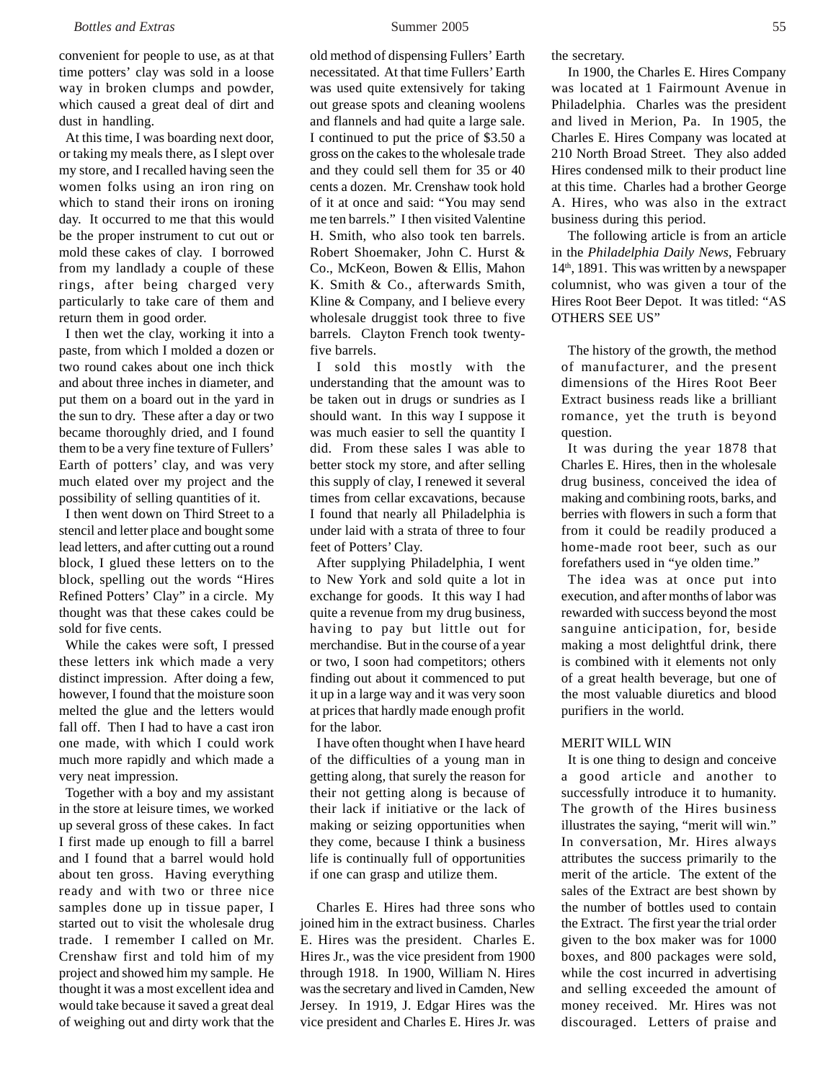convenient for people to use, as at that time potters' clay was sold in a loose way in broken clumps and powder, which caused a great deal of dirt and dust in handling.

At this time, I was boarding next door, or taking my meals there, as I slept over my store, and I recalled having seen the women folks using an iron ring on which to stand their irons on ironing day. It occurred to me that this would be the proper instrument to cut out or mold these cakes of clay. I borrowed from my landlady a couple of these rings, after being charged very particularly to take care of them and return them in good order.

I then wet the clay, working it into a paste, from which I molded a dozen or two round cakes about one inch thick and about three inches in diameter, and put them on a board out in the yard in the sun to dry. These after a day or two became thoroughly dried, and I found them to be a very fine texture of Fullers' Earth of potters' clay, and was very much elated over my project and the possibility of selling quantities of it.

I then went down on Third Street to a stencil and letter place and bought some lead letters, and after cutting out a round block, I glued these letters on to the block, spelling out the words "Hires Refined Potters' Clay" in a circle. My thought was that these cakes could be sold for five cents.

While the cakes were soft, I pressed these letters ink which made a very distinct impression. After doing a few, however, I found that the moisture soon melted the glue and the letters would fall off. Then I had to have a cast iron one made, with which I could work much more rapidly and which made a very neat impression.

Together with a boy and my assistant in the store at leisure times, we worked up several gross of these cakes. In fact I first made up enough to fill a barrel and I found that a barrel would hold about ten gross. Having everything ready and with two or three nice samples done up in tissue paper, I started out to visit the wholesale drug trade. I remember I called on Mr. Crenshaw first and told him of my project and showed him my sample. He thought it was a most excellent idea and would take because it saved a great deal of weighing out and dirty work that the old method of dispensing Fullers' Earth necessitated. At that time Fullers' Earth was used quite extensively for taking out grease spots and cleaning woolens and flannels and had quite a large sale. I continued to put the price of \$3.50 a gross on the cakes to the wholesale trade and they could sell them for 35 or 40 cents a dozen. Mr. Crenshaw took hold of it at once and said: "You may send me ten barrels." I then visited Valentine H. Smith, who also took ten barrels. Robert Shoemaker, John C. Hurst & Co., McKeon, Bowen & Ellis, Mahon K. Smith & Co., afterwards Smith, Kline & Company, and I believe every wholesale druggist took three to five barrels. Clayton French took twentyfive barrels.

I sold this mostly with the understanding that the amount was to be taken out in drugs or sundries as I should want. In this way I suppose it was much easier to sell the quantity I did. From these sales I was able to better stock my store, and after selling this supply of clay, I renewed it several times from cellar excavations, because I found that nearly all Philadelphia is under laid with a strata of three to four feet of Potters' Clay.

After supplying Philadelphia, I went to New York and sold quite a lot in exchange for goods. It this way I had quite a revenue from my drug business, having to pay but little out for merchandise. But in the course of a year or two, I soon had competitors; others finding out about it commenced to put it up in a large way and it was very soon at prices that hardly made enough profit for the labor.

I have often thought when I have heard of the difficulties of a young man in getting along, that surely the reason for their not getting along is because of their lack if initiative or the lack of making or seizing opportunities when they come, because I think a business life is continually full of opportunities if one can grasp and utilize them.

Charles E. Hires had three sons who joined him in the extract business. Charles E. Hires was the president. Charles E. Hires Jr., was the vice president from 1900 through 1918. In 1900, William N. Hires was the secretary and lived in Camden, New Jersey. In 1919, J. Edgar Hires was the vice president and Charles E. Hires Jr. was the secretary.

In 1900, the Charles E. Hires Company was located at 1 Fairmount Avenue in Philadelphia. Charles was the president and lived in Merion, Pa. In 1905, the Charles E. Hires Company was located at 210 North Broad Street. They also added Hires condensed milk to their product line at this time. Charles had a brother George A. Hires, who was also in the extract business during this period.

The following article is from an article in the *Philadelphia Daily News*, February 14th, 1891. This was written by a newspaper columnist, who was given a tour of the Hires Root Beer Depot. It was titled: "AS OTHERS SEE US"

The history of the growth, the method of manufacturer, and the present dimensions of the Hires Root Beer Extract business reads like a brilliant romance, yet the truth is beyond question.

It was during the year 1878 that Charles E. Hires, then in the wholesale drug business, conceived the idea of making and combining roots, barks, and berries with flowers in such a form that from it could be readily produced a home-made root beer, such as our forefathers used in "ye olden time."

The idea was at once put into execution, and after months of labor was rewarded with success beyond the most sanguine anticipation, for, beside making a most delightful drink, there is combined with it elements not only of a great health beverage, but one of the most valuable diuretics and blood purifiers in the world.

## MERIT WILL WIN

It is one thing to design and conceive a good article and another to successfully introduce it to humanity. The growth of the Hires business illustrates the saying, "merit will win." In conversation, Mr. Hires always attributes the success primarily to the merit of the article. The extent of the sales of the Extract are best shown by the number of bottles used to contain the Extract. The first year the trial order given to the box maker was for 1000 boxes, and 800 packages were sold, while the cost incurred in advertising and selling exceeded the amount of money received. Mr. Hires was not discouraged. Letters of praise and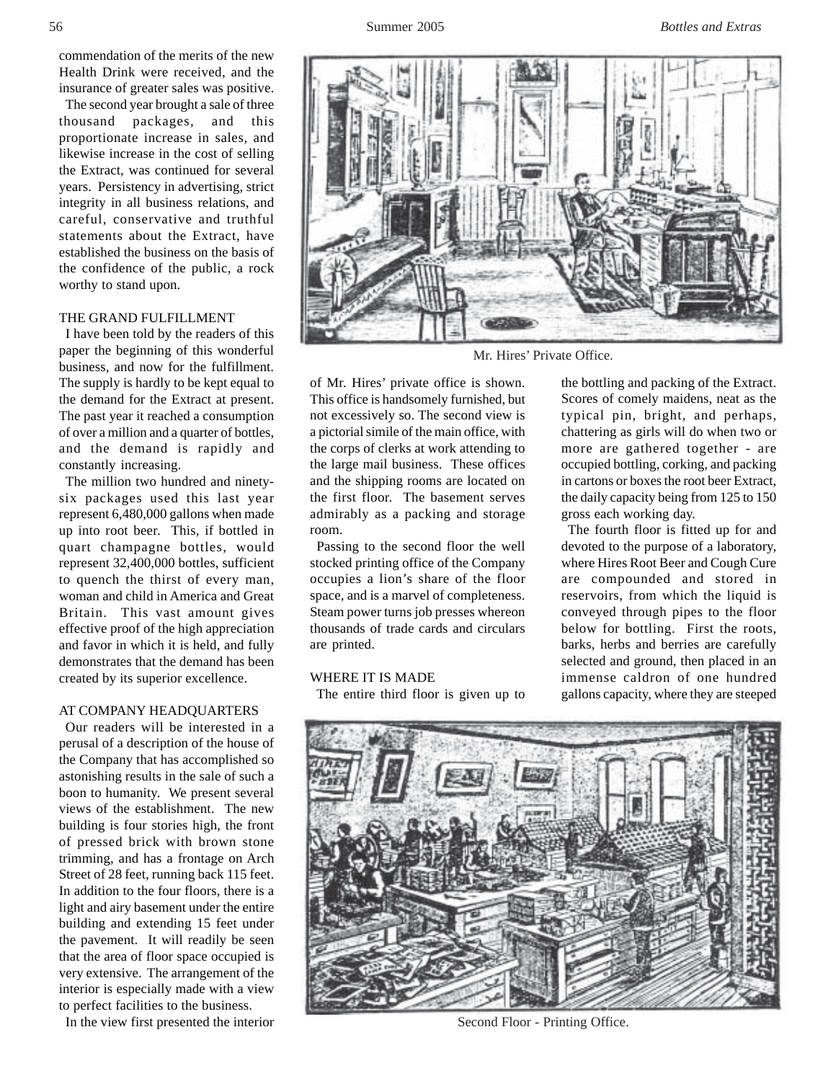commendation of the merits of the new Health Drink were received, and the insurance of greater sales was positive.

The second year brought a sale of three thousand packages, and this proportionate increase in sales, and likewise increase in the cost of selling the Extract, was continued for several years. Persistency in advertising, strict integrity in all business relations, and careful, conservative and truthful statements about the Extract, have established the business on the basis of the confidence of the public, a rock worthy to stand upon.

# THE GRAND FULFILLMENT

I have been told by the readers of this paper the beginning of this wonderful business, and now for the fulfillment. The supply is hardly to be kept equal to the demand for the Extract at present. The past year it reached a consumption of over a million and a quarter of bottles, and the demand is rapidly and constantly increasing.

The million two hundred and ninetysix packages used this last year represent 6,480,000 gallons when made up into root beer. This, if bottled in quart champagne bottles, would represent 32,400,000 bottles, sufficient to quench the thirst of every man, woman and child in America and Great Britain. This vast amount gives effective proof of the high appreciation and favor in which it is held, and fully demonstrates that the demand has been created by its superior excellence.

### AT COMPANY HEADQUARTERS

Our readers will be interested in a perusal of a description of the house of the Company that has accomplished so astonishing results in the sale of such a boon to humanity. We present several views of the establishment. The new building is four stories high, the front of pressed brick with brown stone trimming, and has a frontage on Arch Street of 28 feet, running back 115 feet. In addition to the four floors, there is a light and airy basement under the entire building and extending 15 feet under the pavement. It will readily be seen that the area of floor space occupied is very extensive. The arrangement of the interior is especially made with a view to perfect facilities to the business.

In the view first presented the interior



Mr. Hires' Private Office.

of Mr. Hires' private office is shown. This office is handsomely furnished, but not excessively so. The second view is a pictorial simile of the main office, with the corps of clerks at work attending to the large mail business. These offices and the shipping rooms are located on the first floor. The basement serves admirably as a packing and storage room.

Passing to the second floor the well stocked printing office of the Company occupies a lion's share of the floor space, and is a marvel of completeness. Steam power turns job presses whereon thousands of trade cards and circulars are printed.

### WHERE IT IS MADE

The entire third floor is given up to

the bottling and packing of the Extract. Scores of comely maidens, neat as the typical pin, bright, and perhaps, chattering as girls will do when two or more are gathered together - are occupied bottling, corking, and packing in cartons or boxes the root beer Extract, the daily capacity being from 125 to 150 gross each working day.

The fourth floor is fitted up for and devoted to the purpose of a laboratory, where Hires Root Beer and Cough Cure are compounded and stored in reservoirs, from which the liquid is conveyed through pipes to the floor below for bottling. First the roots, barks, herbs and berries are carefully selected and ground, then placed in an immense caldron of one hundred gallons capacity, where they are steeped



Second Floor - Printing Office.